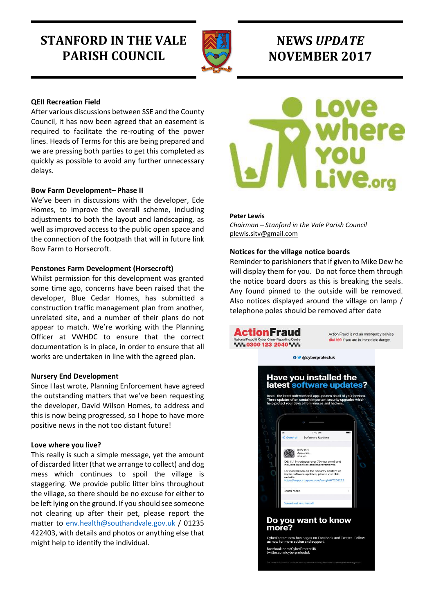# **STANFORD IN THE VALE PARISH COUNCIL**



# **NEWS** *UPDATE* **NOVEMBER 2017**

## **QEII Recreation Field**

After various discussions between SSE and the County Council, it has now been agreed that an easement is required to facilitate the re-routing of the power lines. Heads of Terms for this are being prepared and we are pressing both parties to get this completed as quickly as possible to avoid any further unnecessary delays.

### **Bow Farm Development– Phase II**

We've been in discussions with the developer, Ede Homes, to improve the overall scheme, including adjustments to both the layout and landscaping, as well as improved access to the public open space and the connection of the footpath that will in future link Bow Farm to Horsecroft.

#### **Penstones Farm Development (Horsecroft)**

Whilst permission for this development was granted some time ago, concerns have been raised that the developer, Blue Cedar Homes, has submitted a construction traffic management plan from another, unrelated site, and a number of their plans do not appear to match. We're working with the Planning Officer at VWHDC to ensure that the correct documentation is in place, in order to ensure that all works are undertaken in line with the agreed plan.

#### **Nursery End Development**

Since I last wrote, Planning Enforcement have agreed the outstanding matters that we've been requesting the developer, David Wilson Homes, to address and this is now being progressed, so I hope to have more positive news in the not too distant future!

### **Love where you live?**

This really is such a simple message, yet the amount of discarded litter (that we arrange to collect) and dog mess which continues to spoil the village is staggering. We provide public litter bins throughout the village, so there should be no excuse for either to be left lying on the ground. If you should see someone not clearing up after their pet, please report the matter to [env.health@southandvale.gov.uk](mailto:env.health@southandvale.gov.uk) / 01235 422403, with details and photos or anything else that might help to identify the individual.



#### **Peter Lewis**

*Chairman – Stanford in the Vale Parish Council* [plewis.sitv@gmail.com](mailto:plewis.sitv@gmail.com)

#### **Notices for the village notice boards**

Reminder to parishioners that if given to Mike Dew he will display them for you. Do not force them through the notice board doors as this is breaking the seals. Any found pinned to the outside will be removed. Also notices displayed around the village on lamp / telephone poles should be removed after date

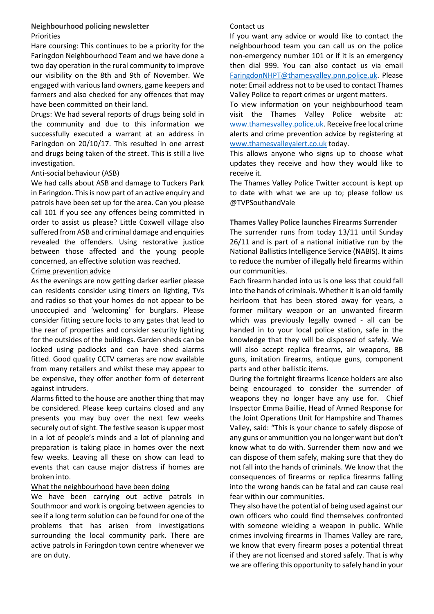## **Neighbourhood policing newsletter** Priorities

Hare coursing: This continues to be a priority for the Faringdon Neighbourhood Team and we have done a two day operation in the rural community to improve our visibility on the 8th and 9th of November. We engaged with various land owners, game keepers and farmers and also checked for any offences that may have been committed on their land.

Drugs: We had several reports of drugs being sold in the community and due to this information we successfully executed a warrant at an address in Faringdon on 20/10/17. This resulted in one arrest and drugs being taken of the street. This is still a live investigation.

## Anti-social behaviour (ASB)

We had calls about ASB and damage to Tuckers Park in Faringdon. This is now part of an active enquiry and patrols have been set up for the area. Can you please call 101 if you see any offences being committed in order to assist us please? Little Coxwell village also suffered from ASB and criminal damage and enquiries revealed the offenders. Using restorative justice between those affected and the young people concerned, an effective solution was reached.

## Crime prevention advice

As the evenings are now getting darker earlier please can residents consider using timers on lighting, TVs and radios so that your homes do not appear to be unoccupied and 'welcoming' for burglars. Please consider fitting secure locks to any gates that lead to the rear of properties and consider security lighting for the outsides of the buildings. Garden sheds can be locked using padlocks and can have shed alarms fitted. Good quality CCTV cameras are now available from many retailers and whilst these may appear to be expensive, they offer another form of deterrent against intruders.

Alarms fitted to the house are another thing that may be considered. Please keep curtains closed and any presents you may buy over the next few weeks securely out of sight. The festive season is upper most in a lot of people's minds and a lot of planning and preparation is taking place in homes over the next few weeks. Leaving all these on show can lead to events that can cause major distress if homes are broken into.

### What the neighbourhood have been doing

We have been carrying out active patrols in Southmoor and work is ongoing between agencies to see if a long term solution can be found for one of the problems that has arisen from investigations surrounding the local community park. There are active patrols in Faringdon town centre whenever we are on duty.

## Contact us

If you want any advice or would like to contact the neighbourhood team you can call us on the police non-emergency number 101 or if it is an emergency then dial 999. You can also contact us via email [FaringdonNHPT@thamesvalley.pnn.police.uk.](mailto:FaringdonNHPT@thamesvalley.pnn.police.uk) Please note: Email address not to be used to contact Thames Valley Police to report crimes or urgent matters.

To view information on your neighbourhood team visit the Thames Valley Police website at: [www.thamesvalley.police.uk.](http://www.thamesvalley.police.uk/) Receive free local crime alerts and crime prevention advice by registering at [www.thamesvalleyalert.co.uk](http://www.thamesvalleyalert.co.uk/) today.

This allows anyone who signs up to choose what updates they receive and how they would like to receive it.

The Thames Valley Police Twitter account is kept up to date with what we are up to; please follow us @TVPSouthandVale

## **Thames Valley Police launches Firearms Surrender**

The surrender runs from today 13/11 until Sunday 26/11 and is part of a national initiative run by the National Ballistics Intelligence Service (NABIS). It aims to reduce the number of illegally held firearms within our communities.

Each firearm handed into us is one less that could fall into the hands of criminals. Whether it is an old family heirloom that has been stored away for years, a former military weapon or an unwanted firearm which was previously legally owned - all can be handed in to your local police station, safe in the knowledge that they will be disposed of safely. We will also accept replica firearms, air weapons, BB guns, imitation firearms, antique guns, component parts and other ballistic items.

During the fortnight firearms licence holders are also being encouraged to consider the surrender of weapons they no longer have any use for. Chief Inspector Emma Baillie, Head of Armed Response for the Joint Operations Unit for Hampshire and Thames Valley, said: "This is your chance to safely dispose of any guns or ammunition you no longer want but don't know what to do with. Surrender them now and we can dispose of them safely, making sure that they do not fall into the hands of criminals. We know that the consequences of firearms or replica firearms falling into the wrong hands can be fatal and can cause real fear within our communities.

They also have the potential of being used against our own officers who could find themselves confronted with someone wielding a weapon in public. While crimes involving firearms in Thames Valley are rare, we know that every firearm poses a potential threat if they are not licensed and stored safely. That is why we are offering this opportunity to safely hand in your